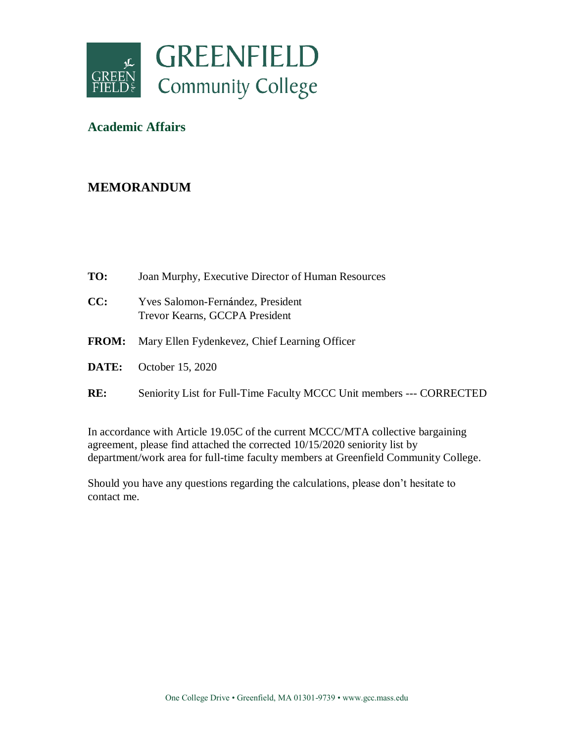

## **Academic Affairs**

## **MEMORANDUM**

- **TO:** Joan Murphy, Executive Director of Human Resources
- **CC:** Yves Salomon-Fernández, President Trevor Kearns, GCCPA President
- **FROM:** Mary Ellen Fydenkevez, Chief Learning Officer
- **DATE:** October 15, 2020
- **RE:** Seniority List for Full-Time Faculty MCCC Unit members --- CORRECTED

In accordance with Article 19.05C of the current MCCC/MTA collective bargaining agreement, please find attached the corrected 10/15/2020 seniority list by department/work area for full-time faculty members at Greenfield Community College.

Should you have any questions regarding the calculations, please don't hesitate to contact me.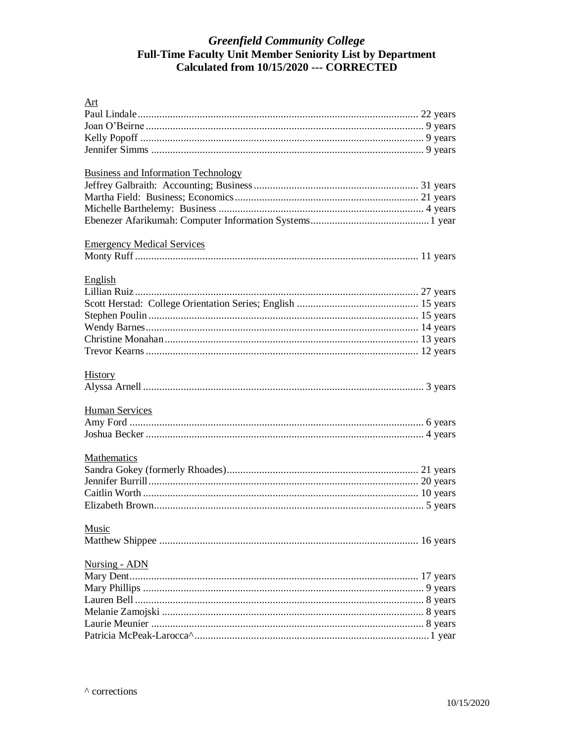## Greenfield Community College<br>Full-Time Faculty Unit Member Seniority List by Department<br>Calculated from 10/15/2020 --- CORRECTED

| Art                                        |  |
|--------------------------------------------|--|
|                                            |  |
|                                            |  |
|                                            |  |
|                                            |  |
| <b>Business and Information Technology</b> |  |
|                                            |  |
|                                            |  |
|                                            |  |
|                                            |  |
| <b>Emergency Medical Services</b>          |  |
|                                            |  |
| English                                    |  |
|                                            |  |
|                                            |  |
|                                            |  |
|                                            |  |
|                                            |  |
|                                            |  |
| <b>History</b>                             |  |
|                                            |  |
| <b>Human Services</b>                      |  |
|                                            |  |
|                                            |  |
| Mathematics                                |  |
|                                            |  |
|                                            |  |
|                                            |  |
|                                            |  |
| Music                                      |  |
|                                            |  |
| <b>Nursing - ADN</b>                       |  |
|                                            |  |
|                                            |  |
|                                            |  |
|                                            |  |
|                                            |  |
|                                            |  |